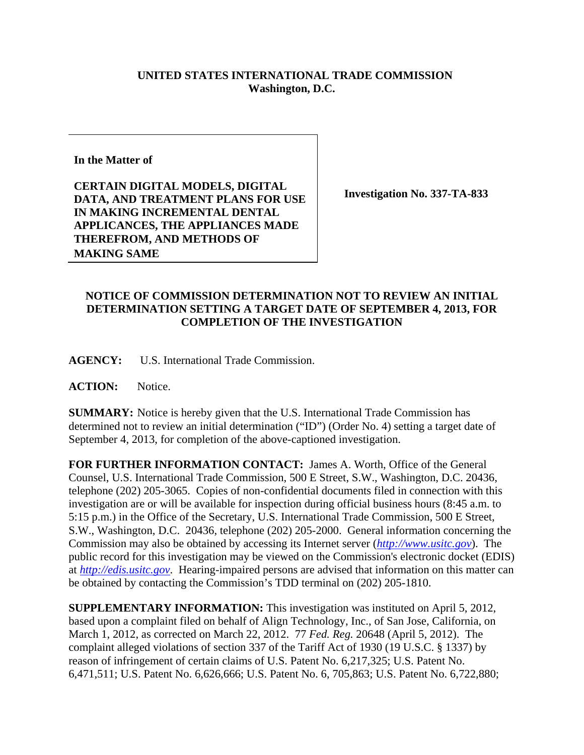## **UNITED STATES INTERNATIONAL TRADE COMMISSION Washington, D.C.**

**In the Matter of** 

**CERTAIN DIGITAL MODELS, DIGITAL DATA, AND TREATMENT PLANS FOR USE IN MAKING INCREMENTAL DENTAL APPLICANCES, THE APPLIANCES MADE THEREFROM, AND METHODS OF MAKING SAME**

**Investigation No. 337-TA-833** 

## **NOTICE OF COMMISSION DETERMINATION NOT TO REVIEW AN INITIAL DETERMINATION SETTING A TARGET DATE OF SEPTEMBER 4, 2013, FOR COMPLETION OF THE INVESTIGATION**

**AGENCY:** U.S. International Trade Commission.

ACTION: Notice.

**SUMMARY:** Notice is hereby given that the U.S. International Trade Commission has determined not to review an initial determination ("ID") (Order No. 4) setting a target date of September 4, 2013, for completion of the above-captioned investigation.

**FOR FURTHER INFORMATION CONTACT:** James A. Worth, Office of the General Counsel, U.S. International Trade Commission, 500 E Street, S.W., Washington, D.C. 20436, telephone (202) 205-3065. Copies of non-confidential documents filed in connection with this investigation are or will be available for inspection during official business hours (8:45 a.m. to 5:15 p.m.) in the Office of the Secretary, U.S. International Trade Commission, 500 E Street, S.W., Washington, D.C. 20436, telephone (202) 205-2000. General information concerning the Commission may also be obtained by accessing its Internet server (*http://www.usitc.gov*). The public record for this investigation may be viewed on the Commission's electronic docket (EDIS) at *http://edis.usitc.gov*. Hearing-impaired persons are advised that information on this matter can be obtained by contacting the Commission's TDD terminal on (202) 205-1810.

**SUPPLEMENTARY INFORMATION:** This investigation was instituted on April 5, 2012, based upon a complaint filed on behalf of Align Technology, Inc., of San Jose, California, on March 1, 2012, as corrected on March 22, 2012. 77 *Fed. Reg.* 20648 (April 5, 2012). The complaint alleged violations of section 337 of the Tariff Act of 1930 (19 U.S.C. § 1337) by reason of infringement of certain claims of U.S. Patent No. 6,217,325; U.S. Patent No. 6,471,511; U.S. Patent No. 6,626,666; U.S. Patent No. 6, 705,863; U.S. Patent No. 6,722,880;